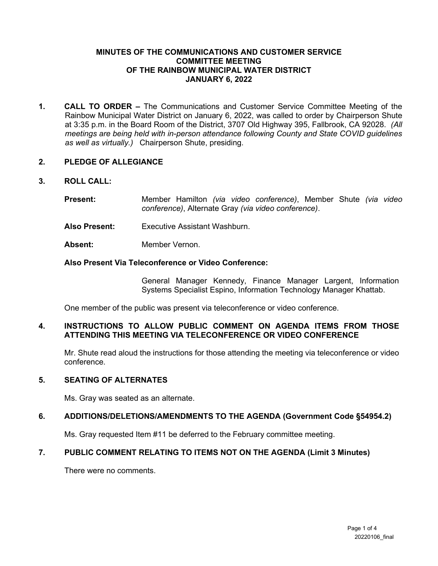### **MINUTES OF THE COMMUNICATIONS AND CUSTOMER SERVICE COMMITTEE MEETING OF THE RAINBOW MUNICIPAL WATER DISTRICT JANUARY 6, 2022**

**1. CALL TO ORDER –** The Communications and Customer Service Committee Meeting of the Rainbow Municipal Water District on January 6, 2022, was called to order by Chairperson Shute at 3:35 p.m. in the Board Room of the District, 3707 Old Highway 395, Fallbrook, CA 92028. *(All meetings are being held with in-person attendance following County and State COVID guidelines as well as virtually.)* Chairperson Shute, presiding.

### **2. PLEDGE OF ALLEGIANCE**

### **3. ROLL CALL:**

- **Present:** Member Hamilton *(via video conference)*, Member Shute *(via video conference)*, Alternate Gray *(via video conference)*.
- **Also Present:** Executive Assistant Washburn.
- Absent: Member Vernon.

#### **Also Present Via Teleconference or Video Conference:**

General Manager Kennedy, Finance Manager Largent, Information Systems Specialist Espino, Information Technology Manager Khattab.

One member of the public was present via teleconference or video conference.

### **4. INSTRUCTIONS TO ALLOW PUBLIC COMMENT ON AGENDA ITEMS FROM THOSE ATTENDING THIS MEETING VIA TELECONFERENCE OR VIDEO CONFERENCE**

Mr. Shute read aloud the instructions for those attending the meeting via teleconference or video conference.

#### **5. SEATING OF ALTERNATES**

Ms. Gray was seated as an alternate.

## **6. ADDITIONS/DELETIONS/AMENDMENTS TO THE AGENDA (Government Code §54954.2)**

Ms. Gray requested Item #11 be deferred to the February committee meeting.

## **7. PUBLIC COMMENT RELATING TO ITEMS NOT ON THE AGENDA (Limit 3 Minutes)**

There were no comments.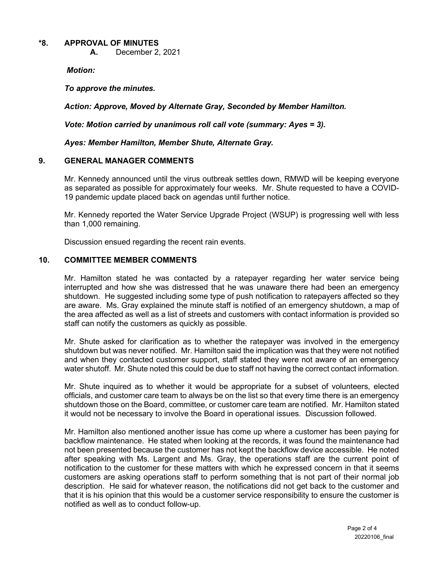### **\*8. APPROVAL OF MINUTES**

**A.** December 2, 2021

*Motion:* 

*To approve the minutes.* 

*Action: Approve, Moved by Alternate Gray, Seconded by Member Hamilton.*

*Vote: Motion carried by unanimous roll call vote (summary: Ayes = 3).*

*Ayes: Member Hamilton, Member Shute, Alternate Gray.*

### **9. GENERAL MANAGER COMMENTS**

Mr. Kennedy announced until the virus outbreak settles down, RMWD will be keeping everyone as separated as possible for approximately four weeks. Mr. Shute requested to have a COVID-19 pandemic update placed back on agendas until further notice.

Mr. Kennedy reported the Water Service Upgrade Project (WSUP) is progressing well with less than 1,000 remaining.

Discussion ensued regarding the recent rain events.

## **10. COMMITTEE MEMBER COMMENTS**

Mr. Hamilton stated he was contacted by a ratepayer regarding her water service being interrupted and how she was distressed that he was unaware there had been an emergency shutdown. He suggested including some type of push notification to ratepayers affected so they are aware. Ms. Gray explained the minute staff is notified of an emergency shutdown, a map of the area affected as well as a list of streets and customers with contact information is provided so staff can notify the customers as quickly as possible.

Mr. Shute asked for clarification as to whether the ratepayer was involved in the emergency shutdown but was never notified. Mr. Hamilton said the implication was that they were not notified and when they contacted customer support, staff stated they were not aware of an emergency water shutoff. Mr. Shute noted this could be due to staff not having the correct contact information.

Mr. Shute inquired as to whether it would be appropriate for a subset of volunteers, elected officials, and customer care team to always be on the list so that every time there is an emergency shutdown those on the Board, committee, or customer care team are notified. Mr. Hamilton stated it would not be necessary to involve the Board in operational issues. Discussion followed.

Mr. Hamilton also mentioned another issue has come up where a customer has been paying for backflow maintenance. He stated when looking at the records, it was found the maintenance had not been presented because the customer has not kept the backflow device accessible. He noted after speaking with Ms. Largent and Ms. Gray, the operations staff are the current point of notification to the customer for these matters with which he expressed concern in that it seems customers are asking operations staff to perform something that is not part of their normal job description. He said for whatever reason, the notifications did not get back to the customer and that it is his opinion that this would be a customer service responsibility to ensure the customer is notified as well as to conduct follow-up.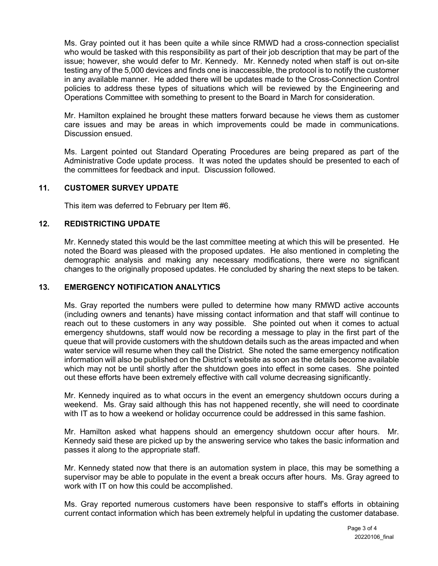Ms. Gray pointed out it has been quite a while since RMWD had a cross-connection specialist who would be tasked with this responsibility as part of their job description that may be part of the issue; however, she would defer to Mr. Kennedy. Mr. Kennedy noted when staff is out on-site testing any of the 5,000 devices and finds one is inaccessible, the protocol is to notify the customer in any available manner. He added there will be updates made to the Cross-Connection Control policies to address these types of situations which will be reviewed by the Engineering and Operations Committee with something to present to the Board in March for consideration.

Mr. Hamilton explained he brought these matters forward because he views them as customer care issues and may be areas in which improvements could be made in communications. Discussion ensued.

Ms. Largent pointed out Standard Operating Procedures are being prepared as part of the Administrative Code update process. It was noted the updates should be presented to each of the committees for feedback and input. Discussion followed.

### **11. CUSTOMER SURVEY UPDATE**

This item was deferred to February per Item #6.

## **12. REDISTRICTING UPDATE**

Mr. Kennedy stated this would be the last committee meeting at which this will be presented. He noted the Board was pleased with the proposed updates. He also mentioned in completing the demographic analysis and making any necessary modifications, there were no significant changes to the originally proposed updates. He concluded by sharing the next steps to be taken.

#### **13. EMERGENCY NOTIFICATION ANALYTICS**

Ms. Gray reported the numbers were pulled to determine how many RMWD active accounts (including owners and tenants) have missing contact information and that staff will continue to reach out to these customers in any way possible. She pointed out when it comes to actual emergency shutdowns, staff would now be recording a message to play in the first part of the queue that will provide customers with the shutdown details such as the areas impacted and when water service will resume when they call the District. She noted the same emergency notification information will also be published on the District's website as soon as the details become available which may not be until shortly after the shutdown goes into effect in some cases. She pointed out these efforts have been extremely effective with call volume decreasing significantly.

Mr. Kennedy inquired as to what occurs in the event an emergency shutdown occurs during a weekend. Ms. Gray said although this has not happened recently, she will need to coordinate with IT as to how a weekend or holiday occurrence could be addressed in this same fashion.

Mr. Hamilton asked what happens should an emergency shutdown occur after hours. Mr. Kennedy said these are picked up by the answering service who takes the basic information and passes it along to the appropriate staff.

Mr. Kennedy stated now that there is an automation system in place, this may be something a supervisor may be able to populate in the event a break occurs after hours. Ms. Gray agreed to work with IT on how this could be accomplished.

Ms. Gray reported numerous customers have been responsive to staff's efforts in obtaining current contact information which has been extremely helpful in updating the customer database.